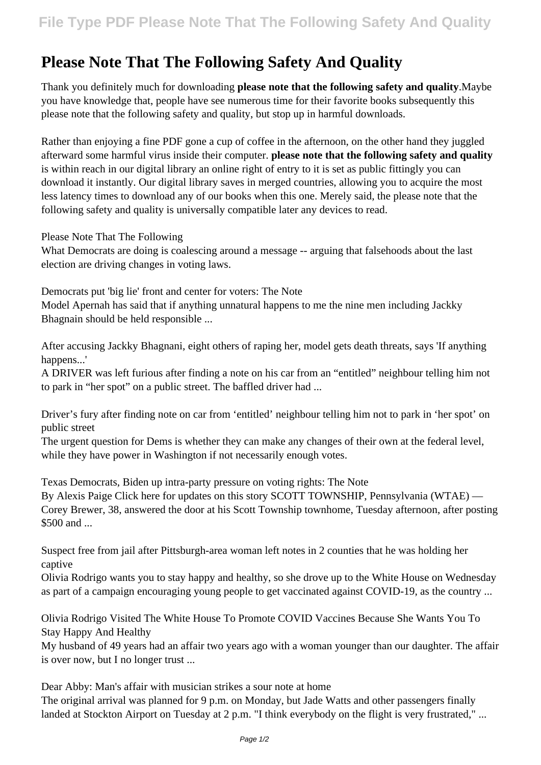## **Please Note That The Following Safety And Quality**

Thank you definitely much for downloading **please note that the following safety and quality**.Maybe you have knowledge that, people have see numerous time for their favorite books subsequently this please note that the following safety and quality, but stop up in harmful downloads.

Rather than enjoying a fine PDF gone a cup of coffee in the afternoon, on the other hand they juggled afterward some harmful virus inside their computer. **please note that the following safety and quality** is within reach in our digital library an online right of entry to it is set as public fittingly you can download it instantly. Our digital library saves in merged countries, allowing you to acquire the most less latency times to download any of our books when this one. Merely said, the please note that the following safety and quality is universally compatible later any devices to read.

Please Note That The Following

What Democrats are doing is coalescing around a message -- arguing that falsehoods about the last election are driving changes in voting laws.

Democrats put 'big lie' front and center for voters: The Note Model Apernah has said that if anything unnatural happens to me the nine men including Jackky Bhagnain should be held responsible ...

After accusing Jackky Bhagnani, eight others of raping her, model gets death threats, says 'If anything happens...'

A DRIVER was left furious after finding a note on his car from an "entitled" neighbour telling him not to park in "her spot" on a public street. The baffled driver had ...

Driver's fury after finding note on car from 'entitled' neighbour telling him not to park in 'her spot' on public street

The urgent question for Dems is whether they can make any changes of their own at the federal level, while they have power in Washington if not necessarily enough votes.

Texas Democrats, Biden up intra-party pressure on voting rights: The Note

By Alexis Paige Click here for updates on this story SCOTT TOWNSHIP, Pennsylvania (WTAE) — Corey Brewer, 38, answered the door at his Scott Township townhome, Tuesday afternoon, after posting \$500 and ...

Suspect free from jail after Pittsburgh-area woman left notes in 2 counties that he was holding her captive

Olivia Rodrigo wants you to stay happy and healthy, so she drove up to the White House on Wednesday as part of a campaign encouraging young people to get vaccinated against COVID-19, as the country ...

Olivia Rodrigo Visited The White House To Promote COVID Vaccines Because She Wants You To Stay Happy And Healthy

My husband of 49 years had an affair two years ago with a woman younger than our daughter. The affair is over now, but I no longer trust ...

Dear Abby: Man's affair with musician strikes a sour note at home

The original arrival was planned for 9 p.m. on Monday, but Jade Watts and other passengers finally landed at Stockton Airport on Tuesday at 2 p.m. "I think everybody on the flight is very frustrated," ...